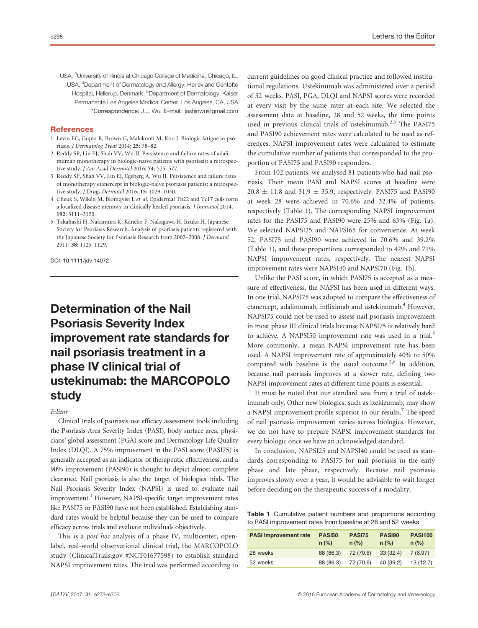USA, <sup>3</sup>University of Illinois at Chicago College of Medicine, Chicago, IL, USA, <sup>4</sup>Department of Dermatology and Allergy, Herlev and Gentofte Hospital, Hellerup, Denmark, <sup>5</sup>Department of Dermatology, Kaiser Permanente Los Angeles Medical Center, Los Angeles, CA, USA \*Correspondence: J.J. Wu. E-mail: jashinwu@gmail.com

### References

- 1 Levin EC, Gupta R, Brown G, Malakouti M, Koo J. Biologic fatigue in psoriasis. J Dermatolog Treat 2014; 25: 78–82.
- 2 Reddy SP, Lin EJ, Shah VV, Wu JJ. Persistence and failure rates of adalimumab monotherapy in biologic-naïve patients with psoriasis: a retrospective study. J Am Acad Dermatol 2016; 74: 575–577.
- 3 Reddy SP, Shah VV, Lin EJ, Egeberg A, Wu JJ. Persistence and failure rates of monotherapy etanercept in biologic-naïve psoriasis patients: a retrospective study. J Drugs Dermatol 2016; 15: 1029–1030.
- 4 Cheuk S, Wiken M, Blomqvist L et al. Epidermal Th22 and Tc17 cells form a localized disease memory in clinically healed psoriasis. J Immunol 2014; 192: 3111–3120.
- 5 Takahashi H, Nakamura K, Kaneko F, Nakagawa H, Iizuka H, Japanese Society for Psoriasis Research. Analysis of psoriasis patients registered with the Japanese Society for Psoriasis Research from 2002–2008. J Dermatol 2011; 38: 1125–1129.

DOI: 10.1111/jdv.14072

# Determination of the Nail Psoriasis Severity Index improvement rate standards for nail psoriasis treatment in a phase IV clinical trial of ustekinumab: the MARCOPOLO study

### Editor

Clinical trials of psoriasis use efficacy assessment tools including the Psoriasis Area Severity Index (PASI), body surface area, physicians' global assessment (PGA) score and Dermatology Life Quality Index (DLQI). A 75% improvement in the PASI score (PASI75) is generally accepted as an indicator of therapeutic effectiveness, and a 90% improvement (PASI90) is thought to depict almost complete clearance. Nail psoriasis is also the target of biologics trials. The Nail Psoriasis Severity Index (NAPSI) is used to evaluate nail improvement.<sup>1</sup> However, NAPSI-specific target improvement rates like PASI75 or PASI90 have not been established. Establishing standard rates would be helpful because they can be used to compare efficacy across trials and evaluate individuals objectively.

This is a *post hoc* analysis of a phase IV, multicenter, openlabel, real-world observational clinical trial, the MARCOPOLO study (ClinicalTrials.gov #NCT01677598) to establish standard NAPSI improvement rates. The trial was performed according to current guidelines on good clinical practice and followed institutional regulations. Ustekinumab was administered over a period of 52 weeks. PASI, PGA, DLQI and NAPSI scores were recorded at every visit by the same rater at each site. We selected the assessment data at baseline, 28 and 52 weeks, the time points used in previous clinical trials of ustekinumab.<sup>2,3</sup> The PASI75 and PASI90 achievement rates were calculated to be used as references. NAPSI improvement rates were calculated to estimate the cumulative number of patients that corresponded to the proportion of PASI75 and PASI90 responders.

From 102 patients, we analysed 81 patients who had nail psoriasis. Their mean PASI and NAPSI scores at baseline were  $20.8 \pm 11.8$  and  $31.9 \pm 35.9$ , respectively. PASI75 and PASI90 at week 28 were achieved in 70.6% and 32.4% of patients, respectively (Table 1). The corresponding NAPSI improvement rates for the PASI75 and PASI90 were 25% and 63% (Fig. 1a). We selected NAPSI25 and NAPSI65 for convenience. At week 52, PASI75 and PASI90 were achieved in 70.6% and 39.2% (Table 1), and these proportions corresponded to 42% and 71% NAPSI improvement rates, respectively. The nearest NAPSI improvement rates were NAPSI40 and NAPSI70 (Fig. 1b).

Unlike the PASI score, in which PASI75 is accepted as a measure of effectiveness, the NAPSI has been used in different ways. In one trial, NAPSI75 was adopted to compare the effectiveness of etanercept, adalimumab, infliximab and ustekinumab.<sup>4</sup> However, NAPSI75 could not be used to assess nail psoriasis improvement in most phase III clinical trials because NAPSI75 is relatively hard to achieve. A NAPSI50 improvement rate was used in a trial.<sup>5</sup> More commonly, a mean NAPSI improvement rate has been used. A NAPSI improvement rate of approximately 40% to 50% compared with baseline is the usual outcome.<sup>2,6</sup> In addition, because nail psoriasis improves at a slower rate, defining two NAPSI improvement rates at different time points is essential.

It must be noted that our standard was from a trial of ustekinumab only. Other new biologics, such as ixekizumab, may show a NAPSI improvement profile superior to our results.<sup>7</sup> The speed of nail psoriasis improvement varies across biologics. However, we do not have to prepare NAPSI improvement standards for every biologic once we have an acknowledged standard.

In conclusion, NAPSI25 and NAPSI40 could be used as standards corresponding to PASI75 for nail psoriasis in the early phase and late phase, respectively. Because nail psoriasis improves slowly over a year, it would be advisable to wait longer before deciding on the therapeutic success of a modality.

Table 1 Cumulative patient numbers and proportions according to PASI improvement rates from baseline at 28 and 52 weeks

| <b>PASI improvement rate</b> | <b>PASI50</b><br>$n$ (%) | <b>PASI75</b><br>$n$ (%) | <b>PASI90</b><br>$n$ (%) | <b>PASI100</b><br>$n$ (%) |
|------------------------------|--------------------------|--------------------------|--------------------------|---------------------------|
| 28 weeks                     | 88 (86.3)                | 72 (70.6)                | 33(32.4)                 | 7(6.97)                   |
| 52 weeks                     | 88 (86.3)                | 72 (70.6)                | 40 (39.2)                | 13 (12.7)                 |